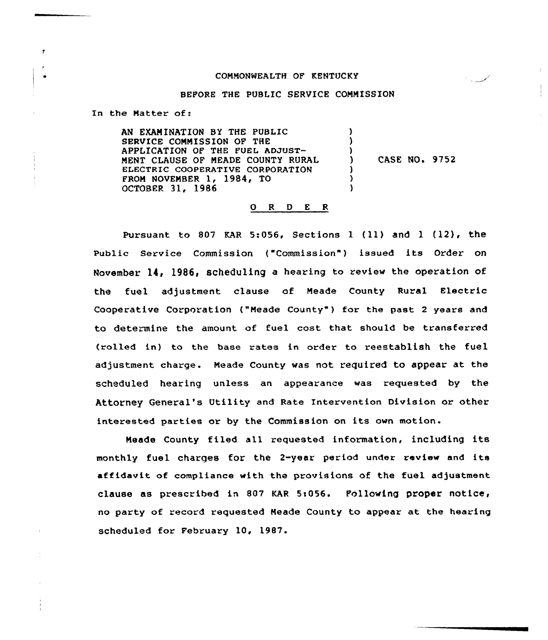### CONNQNWEALTH OF KENTUCKY

#### BEFORE THE PUBLIC SERVICE CONNISSION

In the Natter of:

AN EXAM INAT ION BY THE PUBLIC SERVICE COMMISSION OF THE APPLICATION OF THE FUEL ADJUST-NENT CLAUSE OF NEADE COUNTY RURAL ELECTRIC COOPERATIVE CORPORATION FROM NOVENBER 1, 1984, TO OCTOBER 31, 1986 ) ) )<br>\ CASE NO. 9752 ) ) )

## 0 <sup>R</sup> <sup>D</sup> <sup>E</sup> <sup>R</sup>

Pursuant to 807 KAR 5:056, Sections  $1$  (11) and  $1$  (12), the Public Service Commission ("Commission") issued its Order on November  $14$ , 1986, scheduling a hearing to review the operation of the fuel adjustment clause of Neade County Rural Electric Cooperative Corporation ("Meade County") for the past 2 years and to determine the amount of fuel cost that should be transferred (rolled in) to the base rates in order to reestablish the fuel adjustment charge. Neade county was not required to appear at the scheduled hearing unless an appearance was requested by the Attorney General's Utility and Rate Intervention Division or other interested parties or by the Commission on its own motion

Neade County filed all requested information, including its monthly fuel charqes for the 2-year period under review and its affidavit of compliance with the provisions of the fuel adjustment clause as prescribed in 807 KAR 5:056. Following proper notice, no party of record requested Neade County to appear at the hearing scheduled for February 10, 1987.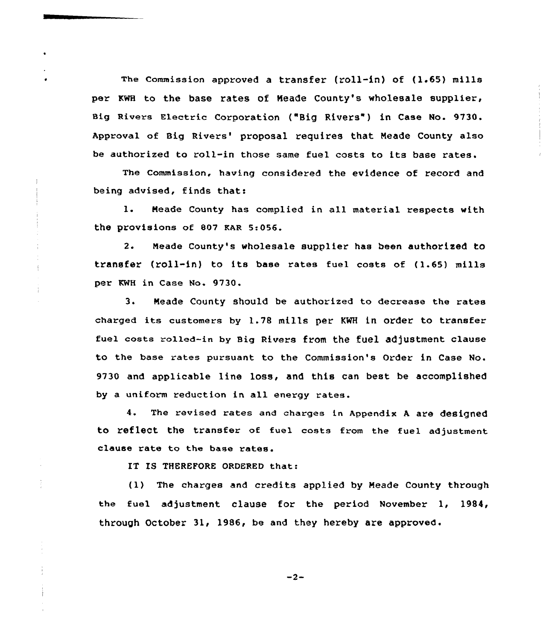The commission approved a transfer (roll-in) of (1.65) mills per KWH to the base rates of Meade County's wholesale supplier, Big Rivers Electric Corporation ("Big Rivers" ) in Case No. 9730. Approval of Big Rivers' proposal requires that Meade County also be authorized to roll-in those same fuel costs to its base rates.

The Commission, having considered the evidence of record and being advised, finds that:

1. Heade County has complied in all material respects with the provisions of 807 KAR 5:056.

2. Meade County's wholesale supplier has been authorized to transfer (roll-in} to its base rates fuel costs of {1.65) mills per RNH in Case No. 9730.

3. Meade County should be authorized to decrease the rates charged its customers by 1.78 mills per KNR in order to transfer fuel costs rolled-in by Big Rivers from the fuel adjustment clause to the base rates pursuant to the Commission's Order in Case No. 9730 and applicable line loss, and this can best be accomplished by a uniform reduction in all energy rates.

4. The revised rates and charges in Appendix <sup>A</sup> are designed to reflect the transfer of fuel costs from the fuel adjustment clause rate to the base rates.

IT IS THEREFORE ORDERED that:

 $\frac{1}{2}$ 

(1) The charges and credits applied by Neade County through the fuel adjustment clause for the period November 1, 1984, through October 31, 1986, be and they hereby are approved.

 $-2-$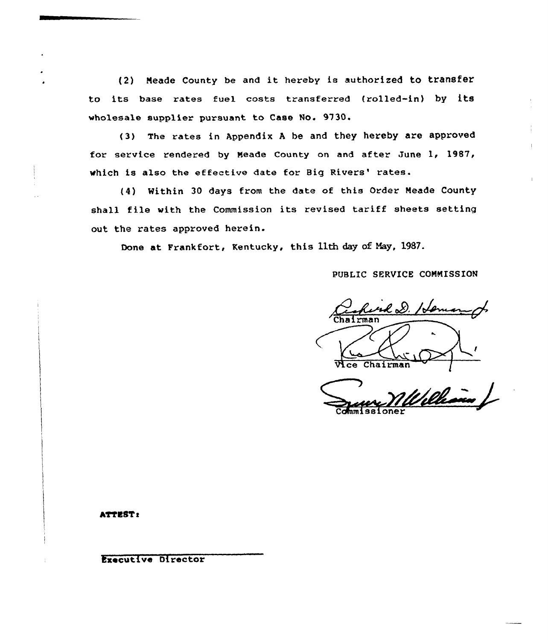(2) Neade county be and it hereby is authorized to transfer to its base rates fuel costs transferred (rolled-in) by its wholesale supplier pursuant to Case No. 9730.

(3) The rates in Appendix <sup>A</sup> be and they hereby are approved for service rendered by Neade County on and after June 1, 1987, which is also the effective date for Big Rivers' rates.

(4) Within 30 days from the date of this Order Neade County shall file with the Commission its revised tariff sheets setting out the rates approved herein.

Done at Frankfort, Kentucky, this 11th day of May, 1987.

# PUBLIC SERVICE COMMISSION

ud D. Hom Chairman

bleh Commissione

#### ATTEST:

Executive Director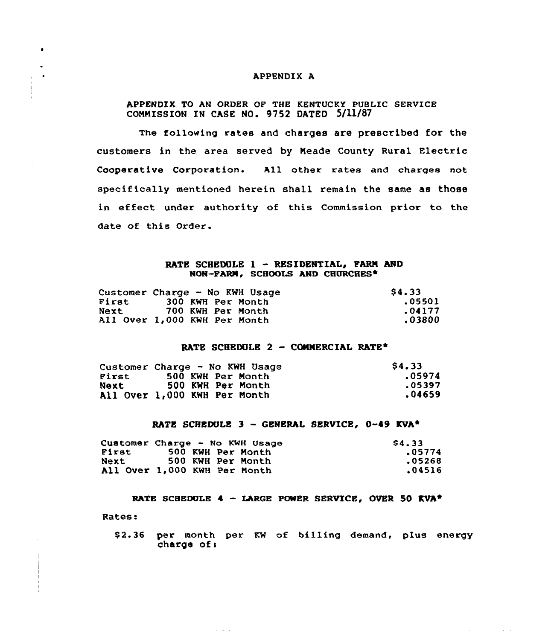### APPENDIX A

## APPENDIX TO AN ORDER OF THE KENTUCKY PUBLIC SERVICE COMMISSION IN CASE NO. 9752 DATED 5/11/87

The following rates and charges are prescribed for the customers in the area served by Meade County Rural Electric Cooperative Corporation. All other rates and charges not specifically mentioned herein shall remain the same as those in effect under authority of this Commission prior to the date of this Order.

### RATE SCHEDULE 1 - RESIDENTIAL, PARM AND NON-FARM, SCHOOLS AND CHURCHES\*

|       | Customer Charge - No KWH Usage | \$4.33 |
|-------|--------------------------------|--------|
| First | 300 KWH Per Month              | .05501 |
| Next  | 700 KWH Per Month              | .04177 |
|       | All Over 1,000 KWH Per Month   | .03800 |

# RATE SCHEDULE 2 - COMMERCIAL RATE\*

|       | Customer Charge - No KWH Usage | <b>S4.33</b> |
|-------|--------------------------------|--------------|
| First | 500 KWH Per Month              | .05974       |
| Next  | 500 KWH Per Month              | .05397       |
|       | All Over 1,000 KWH Per Month   | .04659       |

### RATE SCHEDULE 3 - GENERAL SERVICE, 0-49 KVA\*

|       | Customer Charge - No KWH Usage | \$4.33 |
|-------|--------------------------------|--------|
| First | 500 KWH Per Month              | .05774 |
| Next  | 500 KWH Per Month              | .05268 |
|       | All Over 1,000 KWH Per Month   | .04516 |

and a series

RATE SCHEDULE 4 - LARGE POWER SERVICE, OVER 50 KVA\*

Rates:

 $\bullet$ 

 $\bullet$ 

\$2.36 per month per KW of billing demand, plus energy charge of:

and a series and